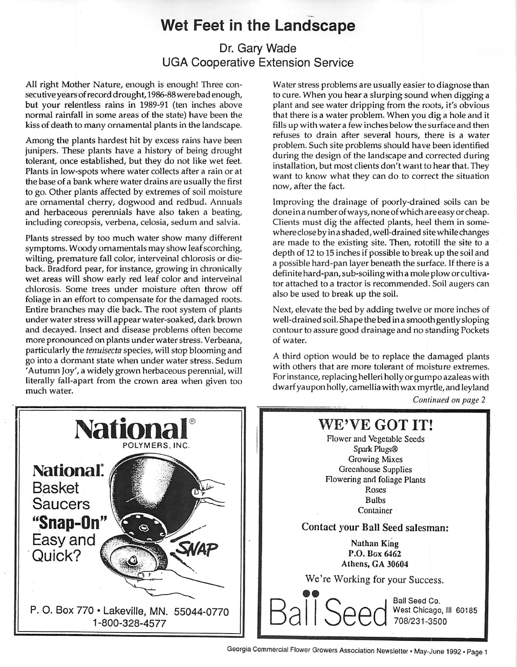# *Wet Feet in the Landscape*

## Dr. Gary Wade UGA Cooperative Extension Service

All right Mother Nature, enough is enough! Three con secutive years of record drought, 1986-88 were bad enough, but your relentless rains in 1989-91 (ten inches above normal rainfall in some areas of the state) have been the kiss of death to many ornamental plants in the landscape.

Among the plants hardest hit by excess rains have been junipers. These plants have a history of being drought tolerant, once established, but they do not like wet feet. Plants in low-spots where water collects after a rain or at the base of a bank where water drains are usually the first to go. Other plants affected by extremes of soil moisture are ornamental cherry, dogwood and redbud. Annuals and herbaceous perennials have also taken a beating, including coreopsis, verbena, celosia, sedum and salvia.

Plants stressed by too much water show many different symptoms. Woody ornamentals may show leaf scorching, wilting, premature fall color, interveinal chlorosis or dieback. Bradford pear, for instance, growing in chronically wet areas will show early red leaf color and interveinal chlorosis. Some trees under moisture often throw off foliage in an effort to compensate for the damaged roots. Entire branches may die back. The root system of plants under water stress will appear water-soaked, dark brown and decayed. Insect and disease problems often become more pronounced on plants under water stress. Verbeana, particularly the **tenuisecta** species, will stop blooming and go into a dormant state when under water stress. Sedum 'Autumn Joy', a widely grown herbaceous perennial, will literally fall-apart from the crown area when given too much water.

Water stress problems are usually easier to diagnose than to cure. When you hear a slurping sound when digging a plant and see water dripping from the roots, it's obvious that there is a water problem. When you dig a hole and it fills up with water a few inches below the surface and then refuses to drain after several hours, there is a water problem. Such site problems should have been identified during the design of the landscape and corrected during installation, but most clients don't want to hear that. They want to know what they can do to correct the situation now, after the fact.

Improving the drainage of poorly-drained soils can be done ina number of ways, none of which are easy or cheap. Clients must dig the affected plants, heel them in some where close by ina shaded, well-drained site while changes are made to the existing site. Then, rototill the site to a depth of 12 to 15 inches if possible to break up the soil and a possible hard-pan layer beneath the surface. If there is a definite hard-pan, sub-soiling with a mole plow or cultivator attached to a tractor is recommended. Soil augers can also be used to break up the soil.

Next, elevate the bed by adding twelve or more inches of well-drained soil. Shape the bed in a smooth gently sloping contour to assure good drainage and no standing Pockets of water.

A third option would be to replace the damaged plants with others that are more tolerant of moisture extremes. Forinstance, replacing helleri holly or gumpo azaleas with dwarfyaupon holly,camelliawith wax myrtle, and leyland

**Continued on page 2**